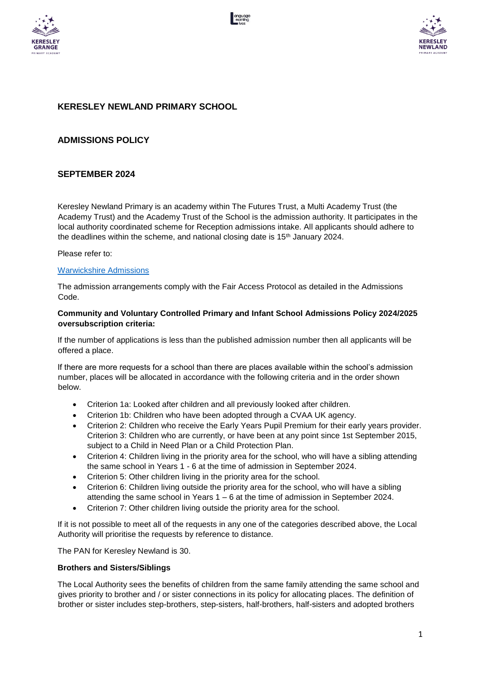





# **KERESLEY NEWLAND PRIMARY SCHOOL**

## **ADMISSIONS POLICY**

## **SEPTEMBER 2024**

Keresley Newland Primary is an academy within The Futures Trust, a Multi Academy Trust (the Academy Trust) and the Academy Trust of the School is the admission authority. It participates in the local authority coordinated scheme for Reception admissions intake. All applicants should adhere to the deadlines within the scheme, and national closing date is  $15<sup>th</sup>$  January 2024.

#### Please refer to:

### [Warwickshire Admissions](https://www.warwickshire.gov.uk/schoollacriteria)

The admission arrangements comply with the Fair Access Protocol as detailed in the Admissions Code.

### **Community and Voluntary Controlled Primary and Infant School Admissions Policy 2024/2025 oversubscription criteria:**

If the number of applications is less than the published admission number then all applicants will be offered a place.

If there are more requests for a school than there are places available within the school's admission number, places will be allocated in accordance with the following criteria and in the order shown below.

- Criterion 1a: Looked after children and all previously looked after children.
- Criterion 1b: Children who have been adopted through a CVAA UK agency.
- Criterion 2: Children who receive the Early Years Pupil Premium for their early years provider. Criterion 3: Children who are currently, or have been at any point since 1st September 2015, subject to a Child in Need Plan or a Child Protection Plan.
- Criterion 4: Children living in the priority area for the school, who will have a sibling attending the same school in Years 1 - 6 at the time of admission in September 2024.
- Criterion 5: Other children living in the priority area for the school.
- Criterion 6: Children living outside the priority area for the school, who will have a sibling attending the same school in Years 1 – 6 at the time of admission in September 2024.
- Criterion 7: Other children living outside the priority area for the school.

If it is not possible to meet all of the requests in any one of the categories described above, the Local Authority will prioritise the requests by reference to distance.

The PAN for Keresley Newland is 30.

#### **Brothers and Sisters/Siblings**

The Local Authority sees the benefits of children from the same family attending the same school and gives priority to brother and / or sister connections in its policy for allocating places. The definition of brother or sister includes step-brothers, step-sisters, half-brothers, half-sisters and adopted brothers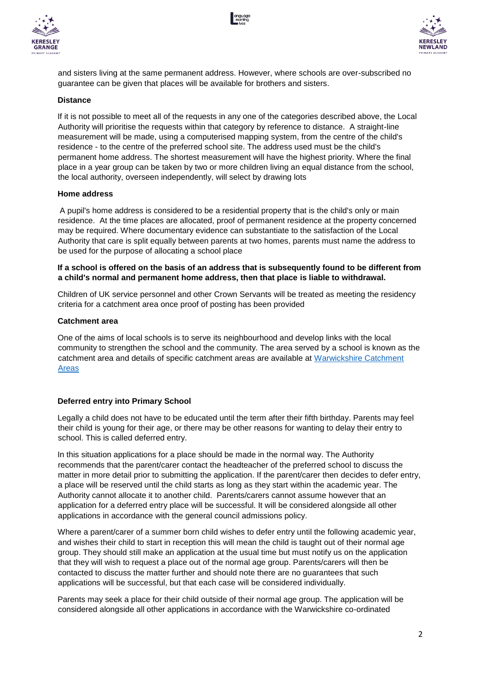





and sisters living at the same permanent address. However, where schools are over-subscribed no guarantee can be given that places will be available for brothers and sisters.

#### **Distance**

If it is not possible to meet all of the requests in any one of the categories described above, the Local Authority will prioritise the requests within that category by reference to distance. A straight-line measurement will be made, using a computerised mapping system, from the centre of the child's residence - to the centre of the preferred school site. The address used must be the child's permanent home address. The shortest measurement will have the highest priority. Where the final place in a year group can be taken by two or more children living an equal distance from the school, the local authority, overseen independently, will select by drawing lots

#### **Home address**

A pupil's home address is considered to be a residential property that is the child's only or main residence. At the time places are allocated, proof of permanent residence at the property concerned may be required. Where documentary evidence can substantiate to the satisfaction of the Local Authority that care is split equally between parents at two homes, parents must name the address to be used for the purpose of allocating a school place

### **If a school is offered on the basis of an address that is subsequently found to be different from a child's normal and permanent home address, then that place is liable to withdrawal.**

Children of UK service personnel and other Crown Servants will be treated as meeting the residency criteria for a catchment area once proof of posting has been provided

### **Catchment area**

One of the aims of local schools is to serve its neighbourhood and develop links with the local community to strengthen the school and the community. The area served by a school is known as the catchment area and details of specific catchment areas are available at [Warwickshire Catchment](https://www.warwickshire.gov.uk/school-admissions-appeals/priority-area-map-infant-primary-schools) [Areas](https://www.warwickshire.gov.uk/school-admissions-appeals/priority-area-map-infant-primary-schools)

### **Deferred entry into Primary School**

Legally a child does not have to be educated until the term after their fifth birthday. Parents may feel their child is young for their age, or there may be other reasons for wanting to delay their entry to school. This is called deferred entry.

In this situation applications for a place should be made in the normal way. The Authority recommends that the parent/carer contact the headteacher of the preferred school to discuss the matter in more detail prior to submitting the application. If the parent/carer then decides to defer entry, a place will be reserved until the child starts as long as they start within the academic year. The Authority cannot allocate it to another child. Parents/carers cannot assume however that an application for a deferred entry place will be successful. It will be considered alongside all other applications in accordance with the general council admissions policy.

Where a parent/carer of a summer born child wishes to defer entry until the following academic year, and wishes their child to start in reception this will mean the child is taught out of their normal age group. They should still make an application at the usual time but must notify us on the application that they will wish to request a place out of the normal age group. Parents/carers will then be contacted to discuss the matter further and should note there are no guarantees that such applications will be successful, but that each case will be considered individually.

Parents may seek a place for their child outside of their normal age group. The application will be considered alongside all other applications in accordance with the Warwickshire co-ordinated